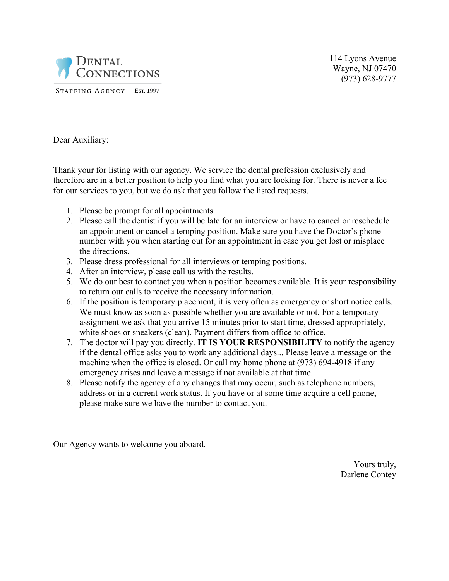

114 Lyons Avenue Wayne, NJ 07470 (973) 628-9777

Dear Auxiliary:

Thank your for listing with our agency. We service the dental profession exclusively and therefore are in a better position to help you find what you are looking for. There is never a fee for our services to you, but we do ask that you follow the listed requests.

- 1. Please be prompt for all appointments.
- 2. Please call the dentist if you will be late for an interview or have to cancel or reschedule an appointment or cancel a temping position. Make sure you have the Doctor's phone number with you when starting out for an appointment in case you get lost or misplace the directions.
- 3. Please dress professional for all interviews or temping positions.
- 4. After an interview, please call us with the results.
- 5. We do our best to contact you when a position becomes available. It is your responsibility to return our calls to receive the necessary information.
- 6. If the position is temporary placement, it is very often as emergency or short notice calls. We must know as soon as possible whether you are available or not. For a temporary assignment we ask that you arrive 15 minutes prior to start time, dressed appropriately, white shoes or sneakers (clean). Payment differs from office to office.
- 7. The doctor will pay you directly. **IT IS YOUR RESPONSIBILITY** to notify the agency if the dental office asks you to work any additional days... Please leave a message on the machine when the office is closed. Or call my home phone at (973) 694-4918 if any emergency arises and leave a message if not available at that time.
- 8. Please notify the agency of any changes that may occur, such as telephone numbers, address or in a current work status. If you have or at some time acquire a cell phone, please make sure we have the number to contact you.

Our Agency wants to welcome you aboard.

Yours truly, Darlene Contey